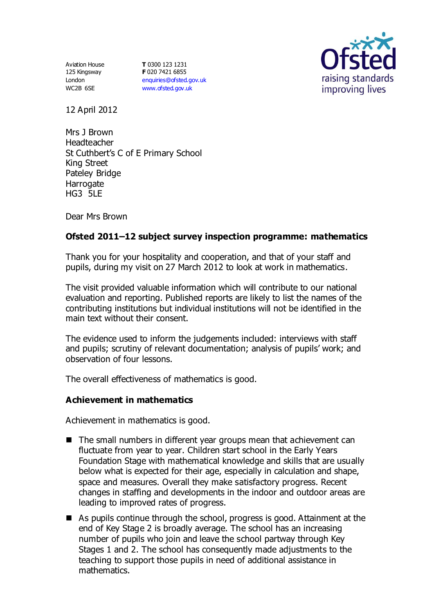Aviation House 125 Kingsway London WC2B 6SE

**T** 0300 123 1231 **F** 020 7421 6855 [enquiries@ofsted.gov.uk](mailto:enquiries@ofsted.gov.uk) [www.ofsted.gov.uk](http://www.ofsted.gov.uk/)



12 April 2012

Mrs J Brown Headteacher St Cuthbert's C of E Primary School King Street Pateley Bridge **Harrogate** HG3 5LE

Dear Mrs Brown

# **Ofsted 2011–12 subject survey inspection programme: mathematics**

Thank you for your hospitality and cooperation, and that of your staff and pupils, during my visit on 27 March 2012 to look at work in mathematics.

The visit provided valuable information which will contribute to our national evaluation and reporting. Published reports are likely to list the names of the contributing institutions but individual institutions will not be identified in the main text without their consent.

The evidence used to inform the judgements included: interviews with staff and pupils; scrutiny of relevant documentation; analysis of pupils' work; and observation of four lessons.

The overall effectiveness of mathematics is good.

#### **Achievement in mathematics**

Achievement in mathematics is good.

- The small numbers in different year groups mean that achievement can fluctuate from year to year. Children start school in the Early Years Foundation Stage with mathematical knowledge and skills that are usually below what is expected for their age, especially in calculation and shape, space and measures. Overall they make satisfactory progress. Recent changes in staffing and developments in the indoor and outdoor areas are leading to improved rates of progress.
- As pupils continue through the school, progress is good. Attainment at the end of Key Stage 2 is broadly average. The school has an increasing number of pupils who join and leave the school partway through Key Stages 1 and 2. The school has consequently made adjustments to the teaching to support those pupils in need of additional assistance in mathematics.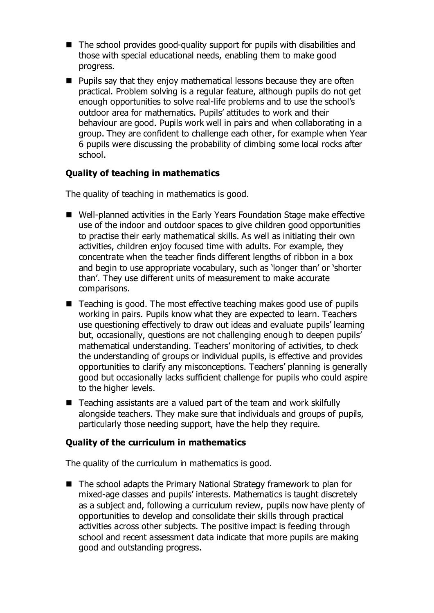- The school provides good-quality support for pupils with disabilities and those with special educational needs, enabling them to make good progress.
- $\blacksquare$  Pupils say that they enjoy mathematical lessons because they are often practical. Problem solving is a regular feature, although pupils do not get enough opportunities to solve real-life problems and to use the school's outdoor area for mathematics. Pupils' attitudes to work and their behaviour are good. Pupils work well in pairs and when collaborating in a group. They are confident to challenge each other, for example when Year 6 pupils were discussing the probability of climbing some local rocks after school.

### **Quality of teaching in mathematics**

The quality of teaching in mathematics is good.

- Well-planned activities in the Early Years Foundation Stage make effective use of the indoor and outdoor spaces to give children good opportunities to practise their early mathematical skills. As well as initiating their own activities, children enjoy focused time with adults. For example, they concentrate when the teacher finds different lengths of ribbon in a box and begin to use appropriate vocabulary, such as 'longer than' or 'shorter than'. They use different units of measurement to make accurate comparisons.
- Teaching is good. The most effective teaching makes good use of pupils working in pairs. Pupils know what they are expected to learn. Teachers use questioning effectively to draw out ideas and evaluate pupils' learning but, occasionally, questions are not challenging enough to deepen pupils' mathematical understanding. Teachers' monitoring of activities, to check the understanding of groups or individual pupils, is effective and provides opportunities to clarify any misconceptions. Teachers' planning is generally good but occasionally lacks sufficient challenge for pupils who could aspire to the higher levels.
- $\blacksquare$  Teaching assistants are a valued part of the team and work skilfully alongside teachers. They make sure that individuals and groups of pupils, particularly those needing support, have the help they require.

#### **Quality of the curriculum in mathematics**

The quality of the curriculum in mathematics is good.

■ The school adapts the Primary National Strategy framework to plan for mixed-age classes and pupils' interests. Mathematics is taught discretely as a subject and, following a curriculum review, pupils now have plenty of opportunities to develop and consolidate their skills through practical activities across other subjects. The positive impact is feeding through school and recent assessment data indicate that more pupils are making good and outstanding progress.